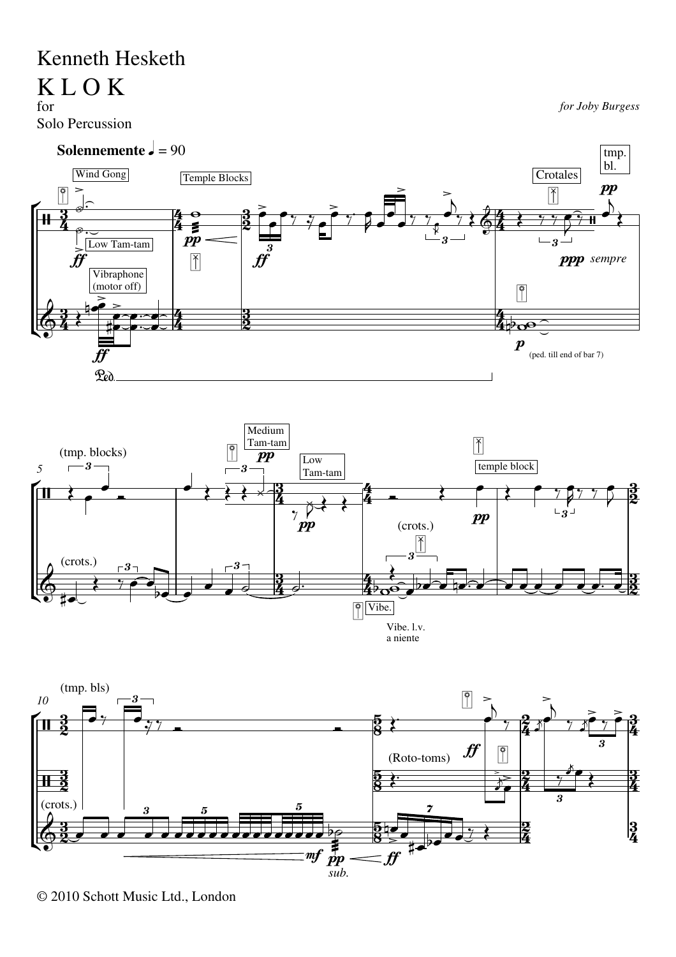## Kenneth Hesketh K L O K

## for Solo Percussion

*for Joby Burgess*







© 2010 Schott Music Ltd., London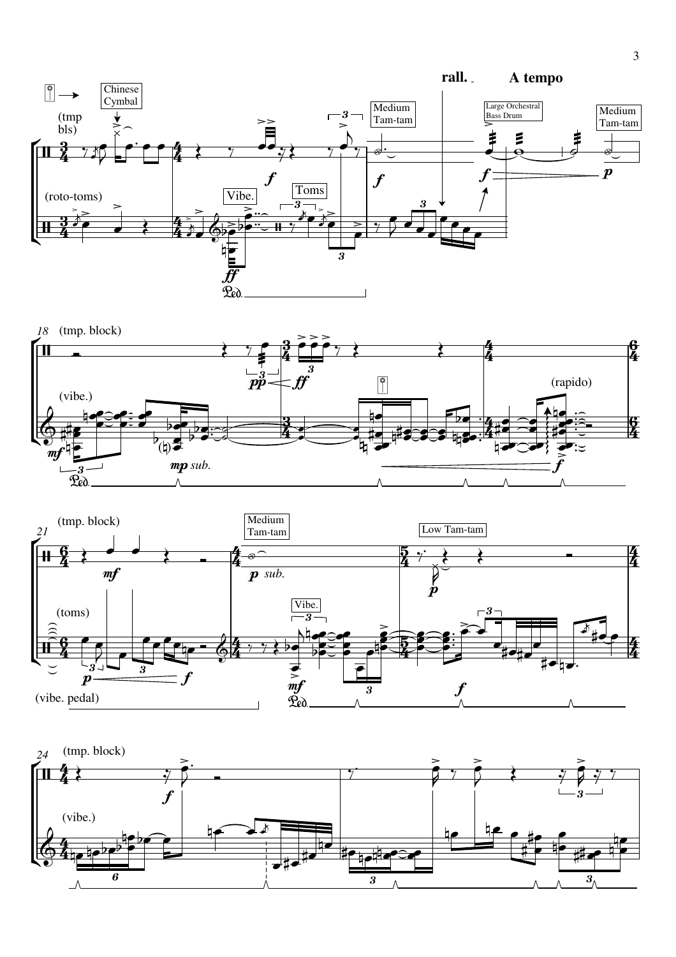